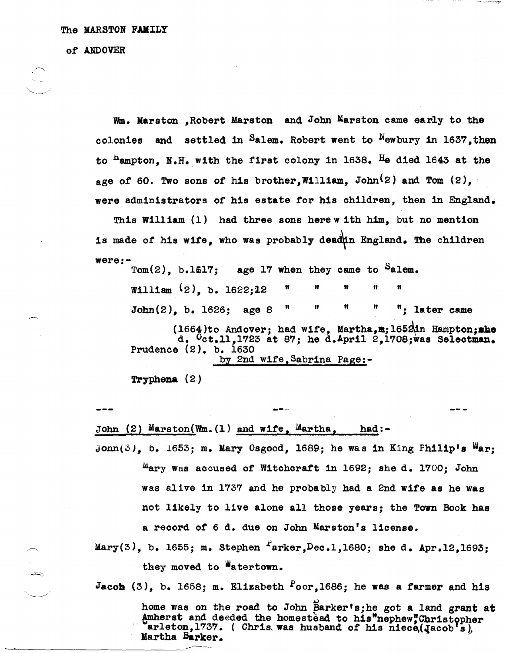The MARSTON FAMILY

*ot* AJIDOVER

.~.

 $~\sim$   $~\sim$   $~\sim$   $~\sim$   $~\sim$   $~\sim$   $~\sim$   $~\sim$   $~\sim$   $~\sim$   $~\sim$   $~\sim$   $~\sim$   $~\sim$   $~\sim$   $~\sim$   $~\sim$   $~\sim$   $~\sim$   $~\sim$   $~\sim$   $~\sim$   $~\sim$   $~\sim$   $~\sim$   $~\sim$   $~\sim$   $~\sim$   $~\sim$   $~\sim$   $~\sim$   $~\sim$   $~\sim$   $~\sim$   $~\sim$   $~\sim$   $~\sim$ 

Wm. Marston ,Robert Marston and John Marston came early to the colonies and settled in Salem. Robert went to  $^{N}$ ewbury in 1637, then to  $<sup>H</sup>$ ampton. N.H. with the first colony in 1638. He died 1643 at the</sup> age of 60. Two sons of his brother.William, John $(2)$  and Tom  $(2)$ , were administrators of his estate for his children, then in England.

This William (l) had three sons here w ith him, but no mention is made of his wife, who was probably deadin England. The children  $\texttt{were:}\texttt{Tom}(2)$ , b.1617;

age 17 when they came to Salem. William  $(2)$ , b.  $1622:12$ John(2}, b. 1626; age 8" " " " "; later came

---

(1664)to Andover; had wife, Martha, m; 1652 in Hampton; mbed. Oct.ll, 1723 at 87; he d.April 2,1708; was Selectman. Prudence (2). b. 1630 by 2nd wite,Sabrina Page:-

Tryphena (2)

John (2) Marston(Wm.(l) and wife, Martha, had:-

John(3), b. 1653; m. Mary Osgood, 1689; he was in King Philip's War;  $^{III}$ ary was accused of Witchcraft in 1692; she d. 1700; John was alIve in 1737 and he probably had a 2nd wife as he was not likely to live alone all those years; the Town Book has a record of 6 d. due on John Marston's license.

Mary(3), b. 1655; m. Stephen  $I$ arker, Dec.1, 1680; she d. Apr.12, 1693; they moved to Watertown.

Jacob  $(3)$ , b. 1658; m. Elizabeth  $\sim$  Poor, 1686; he was a farmer and his

home was on the road to John Barker's;he got a land grant at Amherst and deeded the homestead to his<sup>M</sup>nephew"Christopher arleton.1737. ( Chris. was husband of his niece,(*Jacob's*), Martha Barker.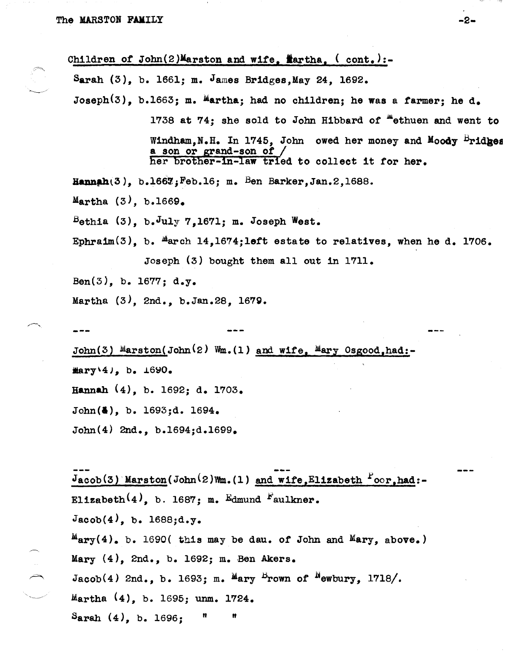-~

Children of  $John(2)$ Marston and wife,  $H$ artha,  $($  cont.):-Sarah  $(3)$ , b. 1661; m. James Bridges, May 24, 1692. Joseph<sup>(3)</sup>, b.1663; m. Martha; had no children; he was a farmer; he d. 1738 at 74; she sold to John Hibbard of <sup>m</sup>ethuen and went to Windham, N.H. In 1745, John owed her money and Moody Bridges a son or grand-son *ot /*  her brother-in-law tried to collect it for her.  $\texttt{Hamah}(3)$ , b.1667; Feb.16; m. Ben Barker, Jan.2, 1688. Martha  $(3)$ , b.1669.  $B$ ethia (3), b.July 7,1671; m. Joseph West. Ephraim $(3)$ , b.  $^{\text{M}}$ arch 14,1674;1eft estate to relatives, when he d. 1706. Joseph (3) bought them all out in 1711. Ben(3), b. 1677; d.y. Martha (3), 2nd., b.Jan.28, 167g. John(3) Marston(John<sup>(2)</sup> Wm.(1) and wife, Mary Osgood,had:- $\texttt{Mary(4)}$ , b.  $\texttt{\_690}.$ 

Hannah (4), b. 1692; d. 1703.

John(a), b. 1693;d. 1694.

John(4) 2nd., b.1694jd.1699.

 $J_{\text{acob}}(3)$  Marston(John<sup>(2)Wm.</sup>(1) and wife, Elizabeth  $l$ oor, had:-Elizabeth<sup>(4)</sup>, b. 1687; m. Edmund Faulkner.  $Jacob(4)$ , b.  $1688; d.y.$ Mary(4). b. 1690( this may be dau. *ot* John and Mary, above.) Mary (4), 2nd., b. 1692; m. Ben Akers.  $\curvearrowright$  Jacob(4) 2nd., b. 1693; m.  $^{\text{M}}$ ary <sup>B</sup>rown of <sup>N</sup>ewbury, 1718/. Martha  $(4)$ , b. 1695; unm. 1724.  $S<sub>arah</sub> (4), b. 1696;$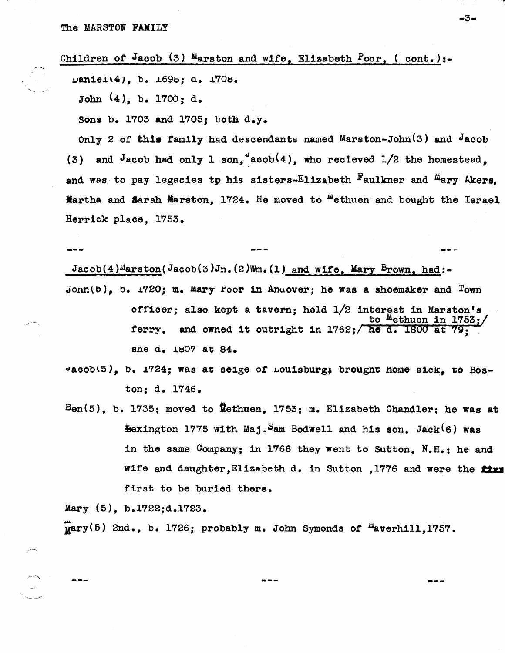## Children of Jacob  $(3)$  Marston and wife, Elizabeth Poor, (cont.):-

 $u$ aniel $(4)$ , b.  $1698; a. 1708$ .

John (4), b. 1700; d.

Sons b. 1703 and 1705; both d.y.

Only 2 of this family had descendants named Marston-John $(3)$  and  $\sqrt{2}$ (3) and Jacob had only 1 son, acob(4), who recieved  $1/2$  the homestead, and was to pay legacies to his sisters-Elizabeth  $F$ aulkner and  $M$ ary Akers. **Martha and Sarah Marston, 1724.** He moved to "ethuen and bought the Israel Herrick place, 1753.

 $Jacob(4)$ <sup>d</sup>arston( $Jacob(3)Jn.$ (2)Wm.(1) and wife. Mary Brown, had:-Jonn(5), b. 1720; m. Mary Foor in Anuover; he was a shoemaker and Town officer; also kept a tavern; held  $1/2$  interest in Marston's to  $"$ ethuen in 1753:/ ferry, and owned it outright in 1762; he d. 1800 at 79; sne d. 1807 at 84.

 $v_{\text{acob}}(5)$ , b. 1724; was at seige of Louisburg, brought home sick, to Boston; d. 1746.

 $Ben(5)$ , b. 1735; moved to Methuen, 1753; m. Elizabeth Chandler; he was at  $-x$ ington 1775 with Maj. Sam Bodwell and his son, Jack $(6)$  was in the same Company; in 1766 they went to Sutton, N.H.; he and wife and daughter, Elizabeth d. in Sutton , 1776 and were the  $star$ first to be buried there.

Mary (5), b.1722;d.1723.

,/---,

 $\frac{1}{2}$ 

 $\overline{\text{Mary}}(5)$  2nd., b. 1726; probably m. John Symonds of <sup>H</sup>averhill,1757.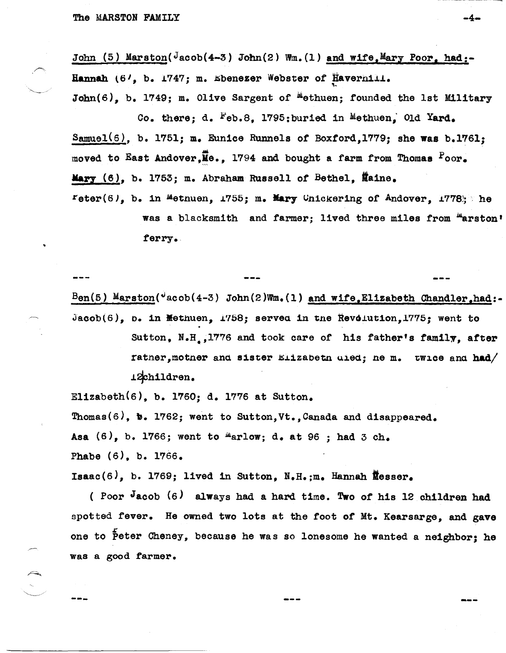John (5) Marston(Jacob(4-3) John(2) Wm. (1) and wife, Mary Poor, had:-Hannah (6<sup>1</sup>, b. 1747; m. Ebenezer Webster of Haverhill.

 $John(6)$ , b. 1749; m. Olive Sargent of <sup>M</sup>ethuen; founded the 1st Military Co. there; d. Feb.8. 1795; buried in Methuen. Old Yard.

Samuel(6), b. 1751; m. Eunice Runnels of Boxford, 1779; she was b.1761; moved to East Andover,  $\overline{M}$ e., 1794 and bought a farm from Thomas  $P_{\text{OOP}_\bullet}$ Mary (6), b. 1753; m. Abraham Russell of Bethel, Maine.

reter(6), b. in Methuen, 1755; m. Mary Unickering of Andover, 1778; he was a blacksmith and farmer; lived three miles from "arston' ferry.

 $\text{Ben}(5)$  Marston( $\text{4acoh}(4-3)$  John(2)Wm.(1) and wife, Elizabeth Chandler.had:-Jacob(6), b. in Methuen, 1758; served in the Revolution, 1775; went to

Sutton, N.H., 1776 and took care of his father's family, after rather, mother and sister Elizabeth died; he m. twice and had/ 12children.

Elizabeth $(6)$ , b. 1760; d. 1776 at Sutton.

Thomas(6), b. 1762; went to Sutton, Vt., Canada and disappeared. Asa  $(6)$ , b. 1766; went to "arlow; d. at 96; had 3 ch. Phabe (6), b. 1766.

Isaac $(6)$ , b. 1769; lived in Sutton, N.H.:m. Hannah Messer.

(Poor Jacob (6) always had a hard time. Two of his 12 children had spotted fever. He owned two lots at the foot of Mt. Kearsarge, and gave one to Peter Cheney, because he was so lonesome he wanted a neighbor; he was a good farmer.

-4-